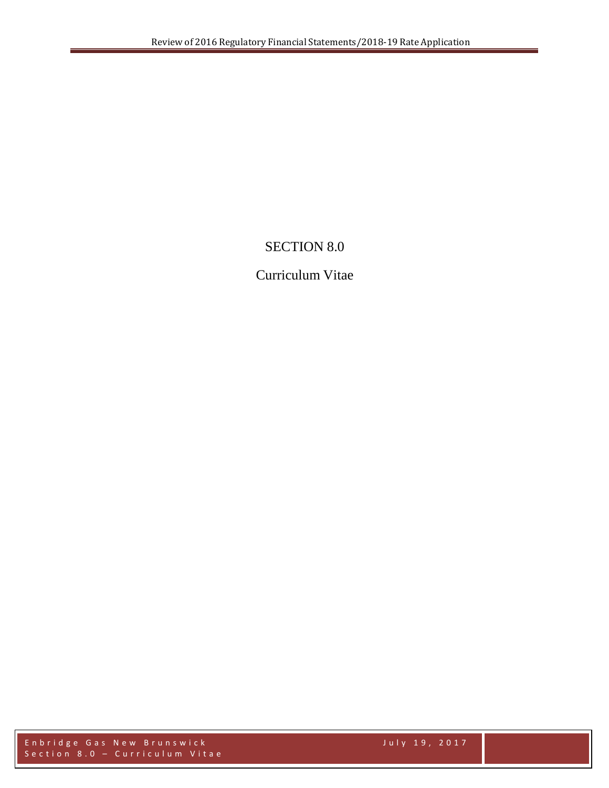## SECTION 8.0

## Curriculum Vitae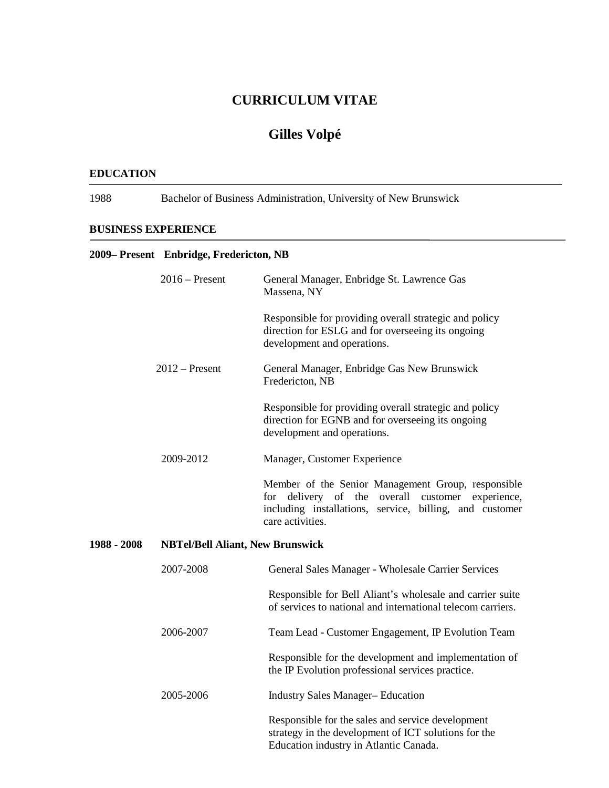## **Gilles Volpé**

#### **EDUCATION**

1988 Bachelor of Business Administration, University of New Brunswick

#### **BUSINESS EXPERIENCE**

#### **2009– Present Enbridge, Fredericton, NB**

|             | $2016$ – Present                        | General Manager, Enbridge St. Lawrence Gas<br>Massena, NY                                                                                                                                   |  |
|-------------|-----------------------------------------|---------------------------------------------------------------------------------------------------------------------------------------------------------------------------------------------|--|
|             |                                         | Responsible for providing overall strategic and policy<br>direction for ESLG and for overseeing its ongoing<br>development and operations.                                                  |  |
|             | $2012$ – Present                        | General Manager, Enbridge Gas New Brunswick<br>Fredericton, NB                                                                                                                              |  |
|             |                                         | Responsible for providing overall strategic and policy<br>direction for EGNB and for overseeing its ongoing<br>development and operations.                                                  |  |
|             | 2009-2012                               | Manager, Customer Experience                                                                                                                                                                |  |
|             |                                         | Member of the Senior Management Group, responsible<br>for delivery of the overall<br>customer<br>experience,<br>including installations, service, billing, and customer<br>care activities. |  |
| 1988 - 2008 | <b>NBTel/Bell Aliant, New Brunswick</b> |                                                                                                                                                                                             |  |
|             | 2007-2008                               | General Sales Manager - Wholesale Carrier Services                                                                                                                                          |  |
|             |                                         | Responsible for Bell Aliant's wholesale and carrier suite<br>of services to national and international telecom carriers.                                                                    |  |
|             | 2006-2007                               | Team Lead - Customer Engagement, IP Evolution Team                                                                                                                                          |  |
|             |                                         | Responsible for the development and implementation of<br>the IP Evolution professional services practice.                                                                                   |  |
|             | 2005-2006                               | <b>Industry Sales Manager-Education</b>                                                                                                                                                     |  |
|             |                                         |                                                                                                                                                                                             |  |

Responsible for the sales and service development strategy in the development of ICT solutions for the Education industry in Atlantic Canada.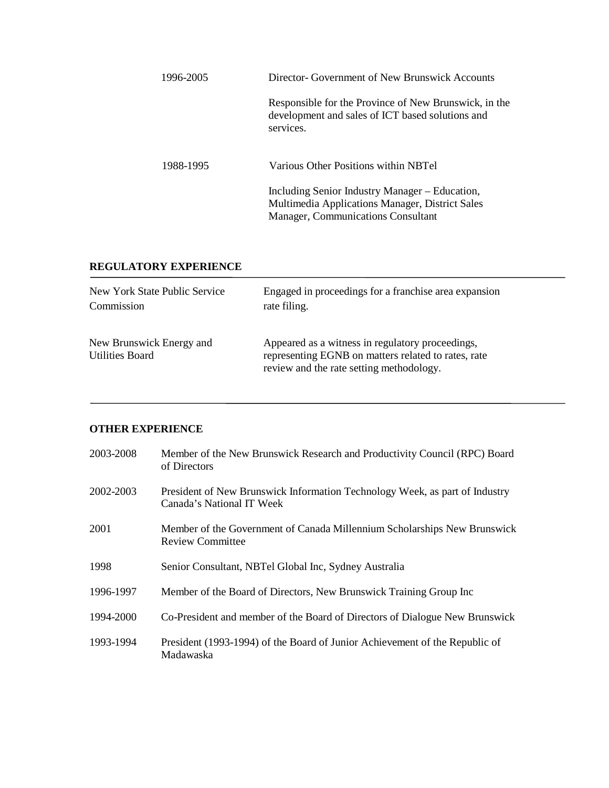| 1996-2005 | Director- Government of New Brunswick Accounts                                                                                                 |  |
|-----------|------------------------------------------------------------------------------------------------------------------------------------------------|--|
|           | Responsible for the Province of New Brunswick, in the<br>development and sales of ICT based solutions and<br>services.                         |  |
| 1988-1995 | Various Other Positions within NBTel                                                                                                           |  |
|           | Including Senior Industry Manager – Education,<br>Multimedia Applications Manager, District Sales<br><b>Manager, Communications Consultant</b> |  |

#### **REGULATORY EXPERIENCE**

| New York State Public Service                      | Engaged in proceedings for a franchise area expansion                                                                                               |
|----------------------------------------------------|-----------------------------------------------------------------------------------------------------------------------------------------------------|
| Commission                                         | rate filing.                                                                                                                                        |
| New Brunswick Energy and<br><b>Utilities Board</b> | Appeared as a witness in regulatory proceedings,<br>representing EGNB on matters related to rates, rate<br>review and the rate setting methodology. |

#### **OTHER EXPERIENCE**

| 2003-2008 | Member of the New Brunswick Research and Productivity Council (RPC) Board<br>of Directors                |
|-----------|----------------------------------------------------------------------------------------------------------|
| 2002-2003 | President of New Brunswick Information Technology Week, as part of Industry<br>Canada's National IT Week |
| 2001      | Member of the Government of Canada Millennium Scholarships New Brunswick<br>Review Committee             |
| 1998      | Senior Consultant, NBTel Global Inc, Sydney Australia                                                    |
| 1996-1997 | Member of the Board of Directors, New Brunswick Training Group Inc                                       |
| 1994-2000 | Co-President and member of the Board of Directors of Dialogue New Brunswick                              |
| 1993-1994 | President (1993-1994) of the Board of Junior Achievement of the Republic of<br>Madawaska                 |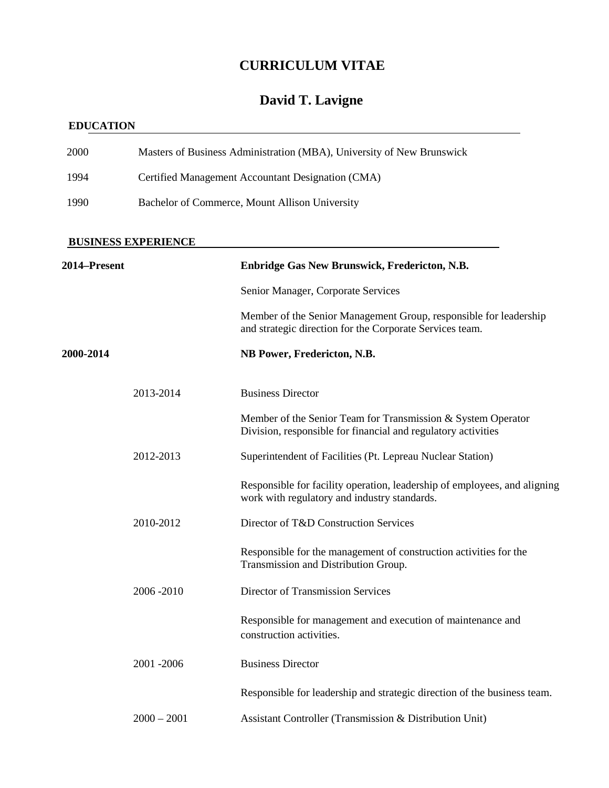# **David T. Lavigne**

### **EDUCATION**

| 2000         |                                                   | Masters of Business Administration (MBA), University of New Brunswick                                                         |  |
|--------------|---------------------------------------------------|-------------------------------------------------------------------------------------------------------------------------------|--|
| 1994         | Certified Management Accountant Designation (CMA) |                                                                                                                               |  |
| 1990         | Bachelor of Commerce, Mount Allison University    |                                                                                                                               |  |
|              | <b>BUSINESS EXPERIENCE</b>                        |                                                                                                                               |  |
| 2014-Present |                                                   | Enbridge Gas New Brunswick, Fredericton, N.B.                                                                                 |  |
|              |                                                   | Senior Manager, Corporate Services                                                                                            |  |
|              |                                                   | Member of the Senior Management Group, responsible for leadership<br>and strategic direction for the Corporate Services team. |  |
| 2000-2014    |                                                   | NB Power, Fredericton, N.B.                                                                                                   |  |
|              | 2013-2014                                         | <b>Business Director</b>                                                                                                      |  |
|              |                                                   | Member of the Senior Team for Transmission & System Operator<br>Division, responsible for financial and regulatory activities |  |
|              | 2012-2013                                         | Superintendent of Facilities (Pt. Lepreau Nuclear Station)                                                                    |  |
|              |                                                   | Responsible for facility operation, leadership of employees, and aligning<br>work with regulatory and industry standards.     |  |
|              | 2010-2012                                         | Director of T&D Construction Services                                                                                         |  |
|              |                                                   | Responsible for the management of construction activities for the<br>Transmission and Distribution Group.                     |  |
|              | 2006-2010                                         | Director of Transmission Services                                                                                             |  |
|              |                                                   | Responsible for management and execution of maintenance and<br>construction activities.                                       |  |
|              | 2001 - 2006                                       | <b>Business Director</b>                                                                                                      |  |
|              |                                                   | Responsible for leadership and strategic direction of the business team.                                                      |  |
|              | $2000 - 2001$                                     | Assistant Controller (Transmission & Distribution Unit)                                                                       |  |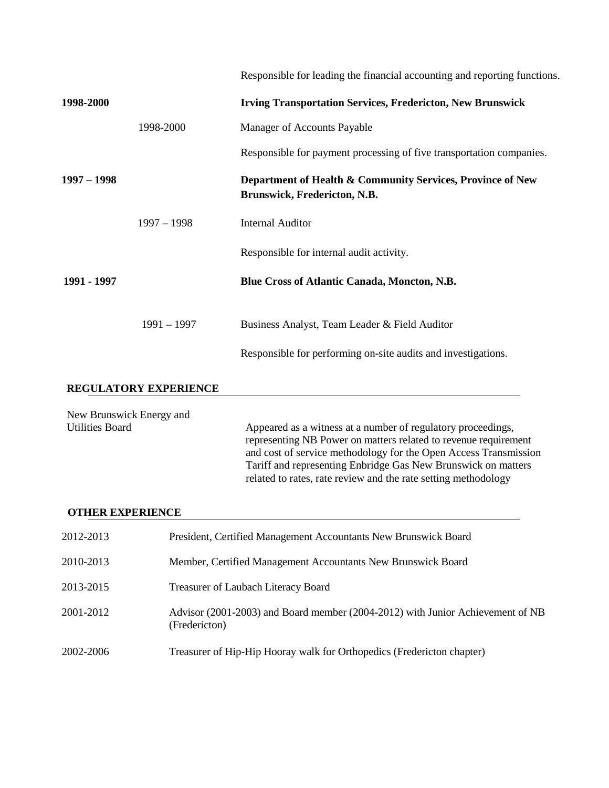|                                                   |                              | Responsible for leading the financial accounting and reporting functions.                  |
|---------------------------------------------------|------------------------------|--------------------------------------------------------------------------------------------|
| 1998-2000                                         |                              | <b>Irving Transportation Services, Fredericton, New Brunswick</b>                          |
|                                                   | 1998-2000                    | Manager of Accounts Payable                                                                |
|                                                   |                              | Responsible for payment processing of five transportation companies.                       |
| $1997 - 1998$                                     |                              | Department of Health & Community Services, Province of New<br>Brunswick, Fredericton, N.B. |
|                                                   | $1997 - 1998$                | <b>Internal Auditor</b>                                                                    |
|                                                   |                              | Responsible for internal audit activity.                                                   |
| 1991 - 1997                                       |                              | <b>Blue Cross of Atlantic Canada, Moncton, N.B.</b>                                        |
|                                                   | $1991 - 1997$                | Business Analyst, Team Leader & Field Auditor                                              |
|                                                   |                              | Responsible for performing on-site audits and investigations.                              |
|                                                   | <b>REGULATORY EXPERIENCE</b> |                                                                                            |
| New Brunswick Energy and<br><b>Hilities Roard</b> |                              | Appeared as a witness at a number of regulatory proceedings                                |

Utilities Board **Appeared as a witness at a number of regulatory proceedings,** representing NB Power on matters related to revenue requirement and cost of service methodology for the Open Access Transmission Tariff and representing Enbridge Gas New Brunswick on matters related to rates, rate review and the rate setting methodology

#### **OTHER EXPERIENCE**

| 2012-2013 | President, Certified Management Accountants New Brunswick Board                                 |
|-----------|-------------------------------------------------------------------------------------------------|
| 2010-2013 | Member, Certified Management Accountants New Brunswick Board                                    |
| 2013-2015 | Treasurer of Laubach Literacy Board                                                             |
| 2001-2012 | Advisor (2001-2003) and Board member (2004-2012) with Junior Achievement of NB<br>(Fredericton) |
| 2002-2006 | Treasurer of Hip-Hip Hooray walk for Orthopedics (Fredericton chapter)                          |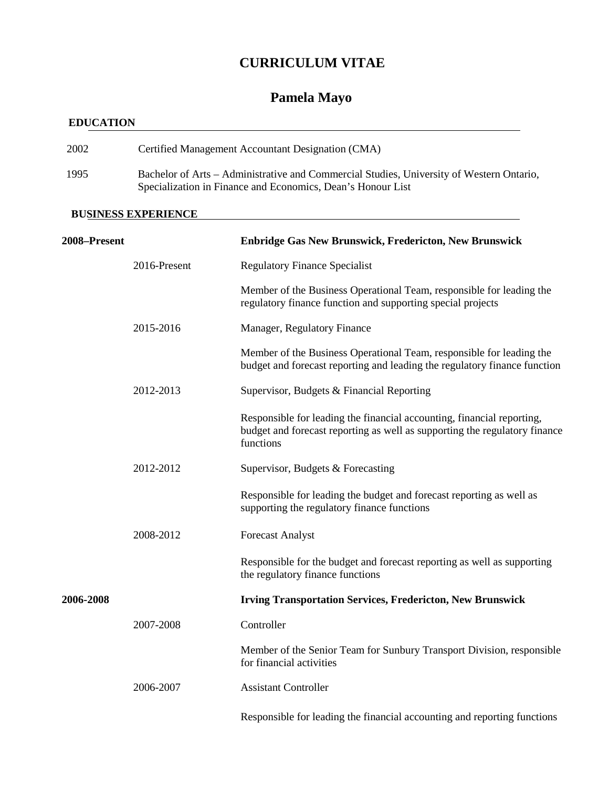## **Pamela Mayo**

### **EDUCATION**

| 2002 | Certified Management Accountant Designation (CMA)                                                                                                       |
|------|---------------------------------------------------------------------------------------------------------------------------------------------------------|
| 1995 | Bachelor of Arts – Administrative and Commercial Studies, University of Western Ontario,<br>Specialization in Finance and Economics, Dean's Honour List |

#### **BUSINESS EXPERIENCE**

| 2008-Present |              | <b>Enbridge Gas New Brunswick, Fredericton, New Brunswick</b>                                                                                                     |
|--------------|--------------|-------------------------------------------------------------------------------------------------------------------------------------------------------------------|
|              | 2016-Present | <b>Regulatory Finance Specialist</b>                                                                                                                              |
|              |              | Member of the Business Operational Team, responsible for leading the<br>regulatory finance function and supporting special projects                               |
|              | 2015-2016    | Manager, Regulatory Finance                                                                                                                                       |
|              |              | Member of the Business Operational Team, responsible for leading the<br>budget and forecast reporting and leading the regulatory finance function                 |
|              | 2012-2013    | Supervisor, Budgets & Financial Reporting                                                                                                                         |
|              |              | Responsible for leading the financial accounting, financial reporting,<br>budget and forecast reporting as well as supporting the regulatory finance<br>functions |
|              | 2012-2012    | Supervisor, Budgets & Forecasting                                                                                                                                 |
|              |              | Responsible for leading the budget and forecast reporting as well as<br>supporting the regulatory finance functions                                               |
|              | 2008-2012    | <b>Forecast Analyst</b>                                                                                                                                           |
|              |              | Responsible for the budget and forecast reporting as well as supporting<br>the regulatory finance functions                                                       |
| 2006-2008    |              | <b>Irving Transportation Services, Fredericton, New Brunswick</b>                                                                                                 |
|              | 2007-2008    | Controller                                                                                                                                                        |
|              |              | Member of the Senior Team for Sunbury Transport Division, responsible<br>for financial activities                                                                 |
|              | 2006-2007    | <b>Assistant Controller</b>                                                                                                                                       |
|              |              | Responsible for leading the financial accounting and reporting functions                                                                                          |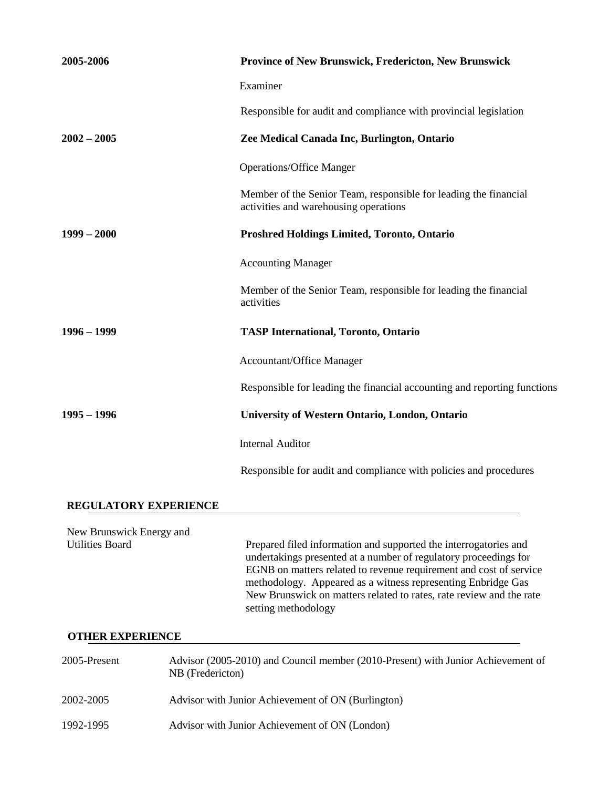| 2005-2006                    | Province of New Brunswick, Fredericton, New Brunswick                                                     |
|------------------------------|-----------------------------------------------------------------------------------------------------------|
|                              | Examiner                                                                                                  |
|                              | Responsible for audit and compliance with provincial legislation                                          |
| $2002 - 2005$                | Zee Medical Canada Inc, Burlington, Ontario                                                               |
|                              | <b>Operations/Office Manger</b>                                                                           |
|                              | Member of the Senior Team, responsible for leading the financial<br>activities and warehousing operations |
| $1999 - 2000$                | <b>Proshred Holdings Limited, Toronto, Ontario</b>                                                        |
|                              | <b>Accounting Manager</b>                                                                                 |
|                              | Member of the Senior Team, responsible for leading the financial<br>activities                            |
| $1996 - 1999$                | <b>TASP International, Toronto, Ontario</b>                                                               |
|                              | <b>Accountant/Office Manager</b>                                                                          |
|                              | Responsible for leading the financial accounting and reporting functions                                  |
| $1995 - 1996$                | University of Western Ontario, London, Ontario                                                            |
|                              | <b>Internal Auditor</b>                                                                                   |
|                              | Responsible for audit and compliance with policies and procedures                                         |
| <b>REGULATORY EXPERIENCE</b> |                                                                                                           |

New Brunswick Energy and<br>Utilities Board Prepared filed information and supported the interrogatories and undertakings presented at a number of regulatory proceedings for EGNB on matters related to revenue requirement and cost of service methodology. Appeared as a witness representing Enbridge Gas New Brunswick on matters related to rates, rate review and the rate setting methodology

#### **OTHER EXPERIENCE**

| 2005-Present | Advisor (2005-2010) and Council member (2010-Present) with Junior Achievement of<br>NB (Fredericton) |
|--------------|------------------------------------------------------------------------------------------------------|
| 2002-2005    | Advisor with Junior Achievement of ON (Burlington)                                                   |
| 1992-1995    | Advisor with Junior Achievement of ON (London)                                                       |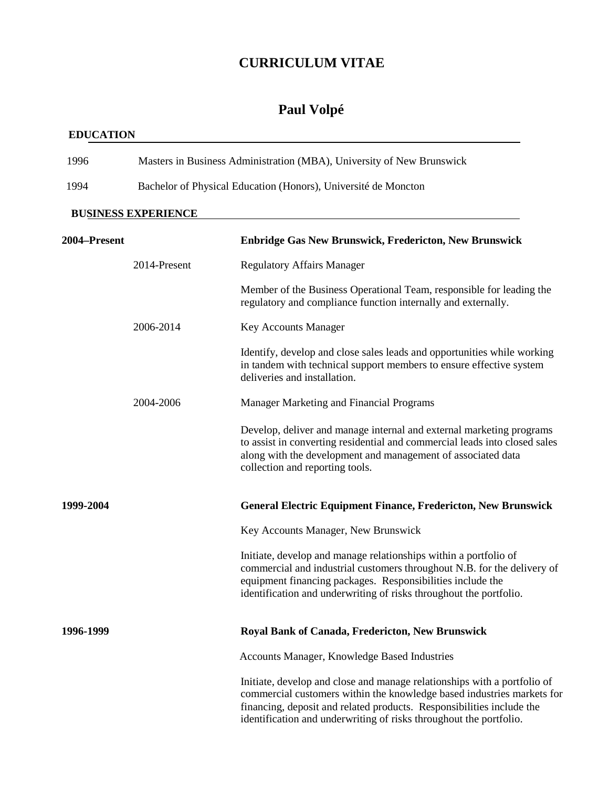### **Paul Volpé**

#### **EDUCATION**

| 1996                       | Masters in Business Administration (MBA), University of New Brunswick |                                                                                                                                       |
|----------------------------|-----------------------------------------------------------------------|---------------------------------------------------------------------------------------------------------------------------------------|
| 1994                       | Bachelor of Physical Education (Honors), Université de Moncton        |                                                                                                                                       |
| <b>BUSINESS EXPERIENCE</b> |                                                                       |                                                                                                                                       |
| 2004–Present               |                                                                       | <b>Enbridge Gas New Brunswick, Fredericton, New Brunswick</b>                                                                         |
|                            | 2014-Present                                                          | Regulatory Affairs Manager                                                                                                            |
|                            |                                                                       | Member of the Business Operational Team, responsible for leading the<br>regulatory and compliance function internally and externally. |

2006-2014 Key Accounts Manager

| Identify, develop and close sales leads and opportunities while working |
|-------------------------------------------------------------------------|
| in tandem with technical support members to ensure effective system     |
| deliveries and installation.                                            |

2004-2006 Manager Marketing and Financial Programs

Develop, deliver and manage internal and external marketing programs to assist in converting residential and commercial leads into closed sales along with the development and management of associated data collection and reporting tools.

**1999-2004 General Electric Equipment Finance, Fredericton, New Brunswick**

Key Accounts Manager, New Brunswick

Initiate, develop and manage relationships within a portfolio of commercial and industrial customers throughout N.B. for the delivery of equipment financing packages. Responsibilities include the identification and underwriting of risks throughout the portfolio.

### **1996-1999 Royal Bank of Canada, Fredericton, New Brunswick**

Accounts Manager, Knowledge Based Industries

Initiate, develop and close and manage relationships with a portfolio of commercial customers within the knowledge based industries markets for financing, deposit and related products. Responsibilities include the identification and underwriting of risks throughout the portfolio.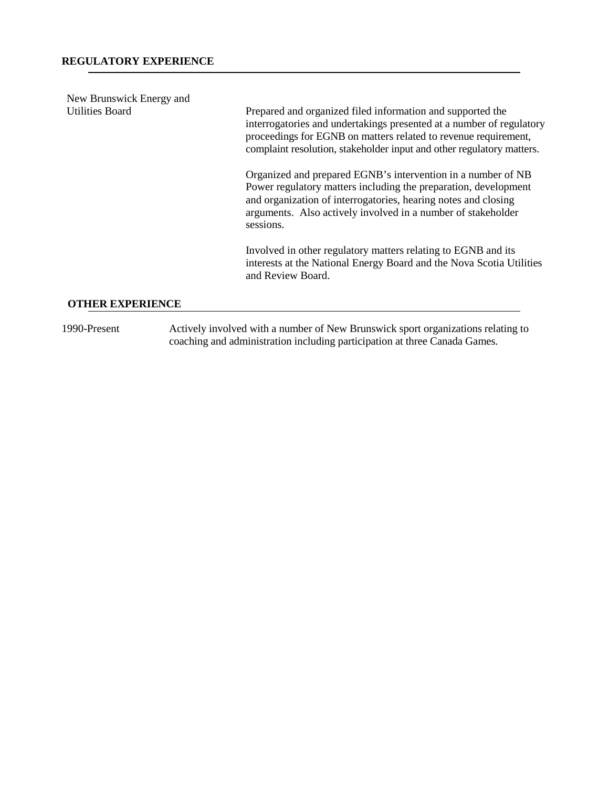| New Brunswick Energy and |                                                                                                                                                                                                                                                                                |
|--------------------------|--------------------------------------------------------------------------------------------------------------------------------------------------------------------------------------------------------------------------------------------------------------------------------|
| <b>Utilities Board</b>   | Prepared and organized filed information and supported the<br>interrogatories and undertakings presented at a number of regulatory<br>proceedings for EGNB on matters related to revenue requirement,<br>complaint resolution, stakeholder input and other regulatory matters. |
|                          | Organized and prepared EGNB's intervention in a number of NB<br>Power regulatory matters including the preparation, development<br>and organization of interrogatories, hearing notes and closing<br>arguments. Also actively involved in a number of stakeholder<br>sessions. |
|                          | Involved in other regulatory matters relating to EGNB and its<br>interests at the National Energy Board and the Nova Scotia Utilities<br>and Review Board.                                                                                                                     |
| AMIIRD RYDRDIBNAR        |                                                                                                                                                                                                                                                                                |

# **OTHER EXPERIENCE**

1990-Present Actively involved with a number of New Brunswick sport organizations relating to coaching and administration including participation at three Canada Games.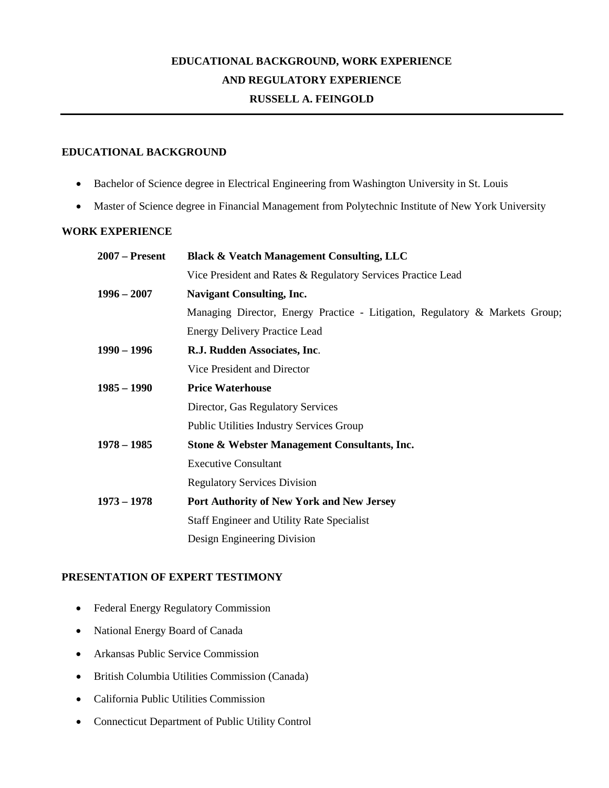## **EDUCATIONAL BACKGROUND, WORK EXPERIENCE AND REGULATORY EXPERIENCE RUSSELL A. FEINGOLD**

#### **EDUCATIONAL BACKGROUND**

- Bachelor of Science degree in Electrical Engineering from Washington University in St. Louis
- Master of Science degree in Financial Management from Polytechnic Institute of New York University

#### **WORK EXPERIENCE**

| $2007$ – Present | <b>Black &amp; Veatch Management Consulting, LLC</b>                         |  |
|------------------|------------------------------------------------------------------------------|--|
|                  | Vice President and Rates & Regulatory Services Practice Lead                 |  |
| $1996 - 2007$    | <b>Navigant Consulting, Inc.</b>                                             |  |
|                  | Managing Director, Energy Practice - Litigation, Regulatory & Markets Group; |  |
|                  | <b>Energy Delivery Practice Lead</b>                                         |  |
| $1990 - 1996$    | R.J. Rudden Associates, Inc.                                                 |  |
|                  | Vice President and Director                                                  |  |
| $1985 - 1990$    | <b>Price Waterhouse</b>                                                      |  |
|                  | Director, Gas Regulatory Services                                            |  |
|                  | <b>Public Utilities Industry Services Group</b>                              |  |
| $1978 - 1985$    | Stone & Webster Management Consultants, Inc.                                 |  |
|                  | <b>Executive Consultant</b>                                                  |  |
|                  | <b>Regulatory Services Division</b>                                          |  |
| $1973 - 1978$    | <b>Port Authority of New York and New Jersey</b>                             |  |
|                  | <b>Staff Engineer and Utility Rate Specialist</b>                            |  |
|                  | Design Engineering Division                                                  |  |
|                  |                                                                              |  |

#### **PRESENTATION OF EXPERT TESTIMONY**

- Federal Energy Regulatory Commission
- National Energy Board of Canada
- Arkansas Public Service Commission
- British Columbia Utilities Commission (Canada)
- California Public Utilities Commission
- Connecticut Department of Public Utility Control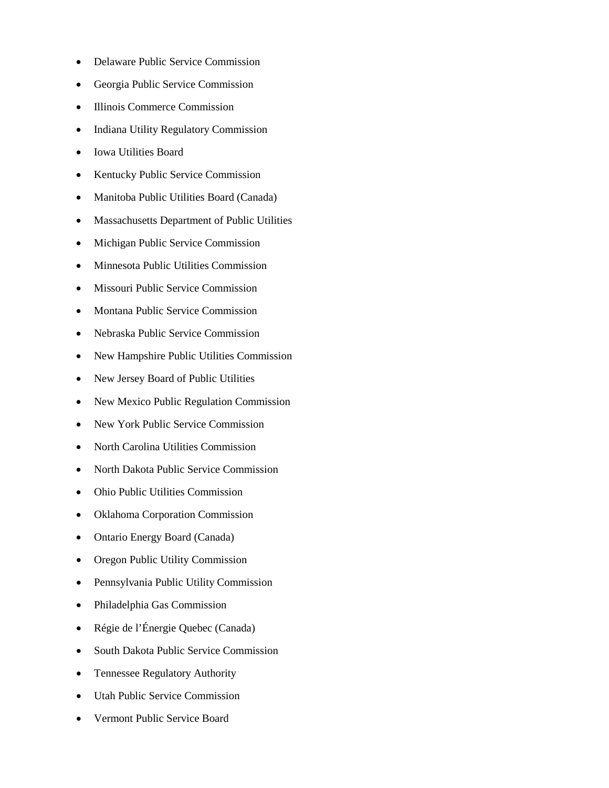- Delaware Public Service Commission
- Georgia Public Service Commission
- Illinois Commerce Commission
- Indiana Utility Regulatory Commission
- Iowa Utilities Board
- Kentucky Public Service Commission
- Manitoba Public Utilities Board (Canada)
- Massachusetts Department of Public Utilities
- Michigan Public Service Commission
- Minnesota Public Utilities Commission
- Missouri Public Service Commission
- Montana Public Service Commission
- Nebraska Public Service Commission
- New Hampshire Public Utilities Commission
- New Jersey Board of Public Utilities
- New Mexico Public Regulation Commission
- New York Public Service Commission
- North Carolina Utilities Commission
- North Dakota Public Service Commission
- Ohio Public Utilities Commission
- Oklahoma Corporation Commission
- Ontario Energy Board (Canada)
- Oregon Public Utility Commission
- Pennsylvania Public Utility Commission
- Philadelphia Gas Commission
- Régie de l'Énergie Quebec (Canada)
- South Dakota Public Service Commission
- Tennessee Regulatory Authority
- Utah Public Service Commission
- Vermont Public Service Board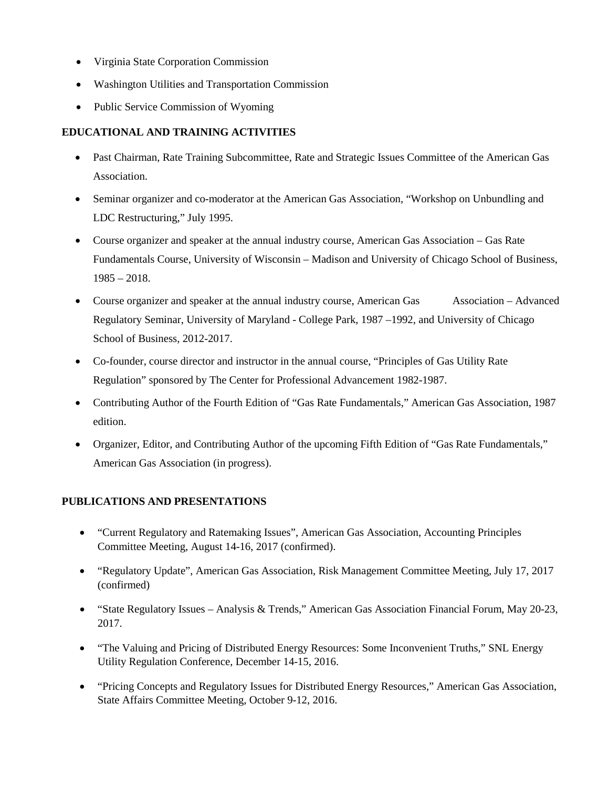- Virginia State Corporation Commission
- Washington Utilities and Transportation Commission
- Public Service Commission of Wyoming

### **EDUCATIONAL AND TRAINING ACTIVITIES**

- Past Chairman, Rate Training Subcommittee, Rate and Strategic Issues Committee of the American Gas Association.
- Seminar organizer and co-moderator at the American Gas Association, "Workshop on Unbundling and LDC Restructuring," July 1995.
- Course organizer and speaker at the annual industry course, American Gas Association Gas Rate Fundamentals Course, University of Wisconsin – Madison and University of Chicago School of Business,  $1985 - 2018.$
- Course organizer and speaker at the annual industry course, American Gas Association Advanced Regulatory Seminar, University of Maryland - College Park, 1987 –1992, and University of Chicago School of Business, 2012-2017.
- Co-founder, course director and instructor in the annual course, "Principles of Gas Utility Rate Regulation" sponsored by The Center for Professional Advancement 1982-1987.
- Contributing Author of the Fourth Edition of "Gas Rate Fundamentals," American Gas Association, 1987 edition.
- Organizer, Editor, and Contributing Author of the upcoming Fifth Edition of "Gas Rate Fundamentals," American Gas Association (in progress).

### **PUBLICATIONS AND PRESENTATIONS**

- "Current Regulatory and Ratemaking Issues", American Gas Association, Accounting Principles Committee Meeting, August 14-16, 2017 (confirmed).
- "Regulatory Update", American Gas Association, Risk Management Committee Meeting, July 17, 2017 (confirmed)
- "State Regulatory Issues Analysis & Trends," American Gas Association Financial Forum, May 20-23, 2017.
- "The Valuing and Pricing of Distributed Energy Resources: Some Inconvenient Truths," SNL Energy Utility Regulation Conference, December 14-15, 2016.
- "Pricing Concepts and Regulatory Issues for Distributed Energy Resources," American Gas Association, State Affairs Committee Meeting, October 9-12, 2016.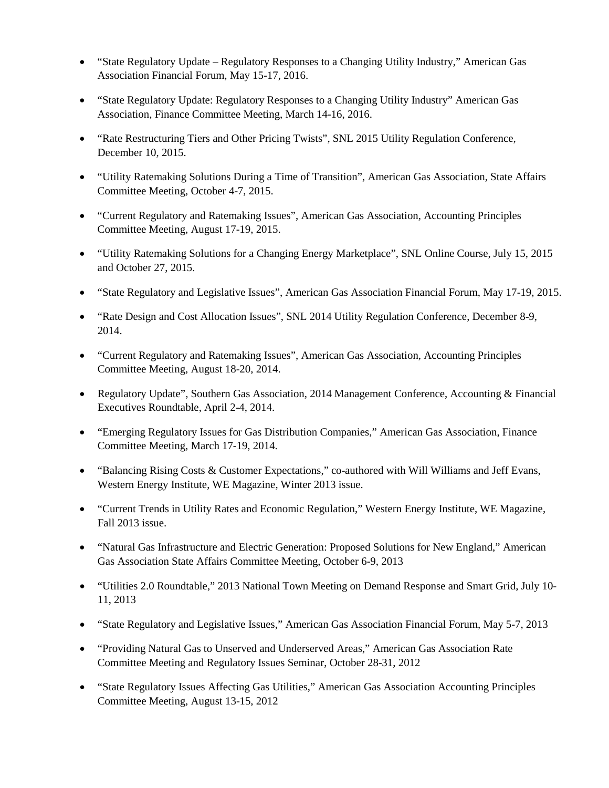- "State Regulatory Update Regulatory Responses to a Changing Utility Industry," American Gas Association Financial Forum, May 15-17, 2016.
- "State Regulatory Update: Regulatory Responses to a Changing Utility Industry" American Gas Association, Finance Committee Meeting, March 14-16, 2016.
- "Rate Restructuring Tiers and Other Pricing Twists", SNL 2015 Utility Regulation Conference, December 10, 2015.
- "Utility Ratemaking Solutions During a Time of Transition", American Gas Association, State Affairs Committee Meeting, October 4-7, 2015.
- "Current Regulatory and Ratemaking Issues", American Gas Association, Accounting Principles Committee Meeting, August 17-19, 2015.
- "Utility Ratemaking Solutions for a Changing Energy Marketplace", SNL Online Course, July 15, 2015 and October 27, 2015.
- "State Regulatory and Legislative Issues", American Gas Association Financial Forum, May 17-19, 2015.
- "Rate Design and Cost Allocation Issues", SNL 2014 Utility Regulation Conference, December 8-9, 2014.
- "Current Regulatory and Ratemaking Issues", American Gas Association, Accounting Principles Committee Meeting, August 18-20, 2014.
- Regulatory Update", Southern Gas Association, 2014 Management Conference, Accounting & Financial Executives Roundtable, April 2-4, 2014.
- "Emerging Regulatory Issues for Gas Distribution Companies," American Gas Association, Finance Committee Meeting, March 17-19, 2014.
- "Balancing Rising Costs & Customer Expectations," co-authored with Will Williams and Jeff Evans, Western Energy Institute, WE Magazine, Winter 2013 issue.
- "Current Trends in Utility Rates and Economic Regulation," Western Energy Institute, WE Magazine, Fall 2013 issue.
- "Natural Gas Infrastructure and Electric Generation: Proposed Solutions for New England," American Gas Association State Affairs Committee Meeting, October 6-9, 2013
- "Utilities 2.0 Roundtable," 2013 National Town Meeting on Demand Response and Smart Grid, July 10- 11, 2013
- "State Regulatory and Legislative Issues," American Gas Association Financial Forum, May 5-7, 2013
- "Providing Natural Gas to Unserved and Underserved Areas," American Gas Association Rate Committee Meeting and Regulatory Issues Seminar, October 28-31, 2012
- "State Regulatory Issues Affecting Gas Utilities," American Gas Association Accounting Principles Committee Meeting, August 13-15, 2012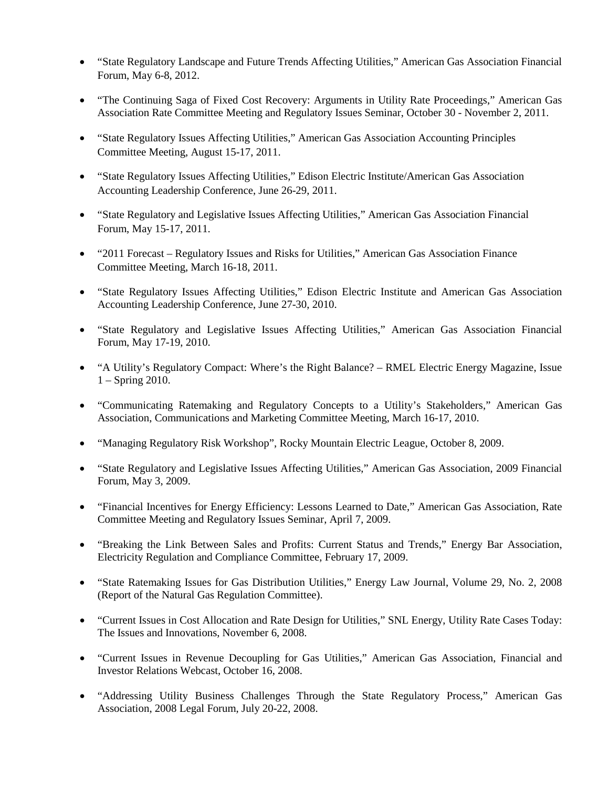- "State Regulatory Landscape and Future Trends Affecting Utilities," American Gas Association Financial Forum, May 6-8, 2012.
- "The Continuing Saga of Fixed Cost Recovery: Arguments in Utility Rate Proceedings," American Gas Association Rate Committee Meeting and Regulatory Issues Seminar, October 30 - November 2, 2011.
- "State Regulatory Issues Affecting Utilities," American Gas Association Accounting Principles Committee Meeting, August 15-17, 2011.
- "State Regulatory Issues Affecting Utilities," Edison Electric Institute/American Gas Association Accounting Leadership Conference, June 26-29, 2011.
- "State Regulatory and Legislative Issues Affecting Utilities," American Gas Association Financial Forum, May 15-17, 2011.
- "2011 Forecast Regulatory Issues and Risks for Utilities," American Gas Association Finance Committee Meeting, March 16-18, 2011.
- "State Regulatory Issues Affecting Utilities," Edison Electric Institute and American Gas Association Accounting Leadership Conference, June 27-30, 2010.
- "State Regulatory and Legislative Issues Affecting Utilities," American Gas Association Financial Forum, May 17-19, 2010.
- "A Utility's Regulatory Compact: Where's the Right Balance? RMEL Electric Energy Magazine, Issue 1 – Spring 2010.
- "Communicating Ratemaking and Regulatory Concepts to a Utility's Stakeholders," American Gas Association, Communications and Marketing Committee Meeting, March 16-17, 2010.
- "Managing Regulatory Risk Workshop", Rocky Mountain Electric League, October 8, 2009.
- "State Regulatory and Legislative Issues Affecting Utilities," American Gas Association, 2009 Financial Forum, May 3, 2009.
- "Financial Incentives for Energy Efficiency: Lessons Learned to Date," American Gas Association, Rate Committee Meeting and Regulatory Issues Seminar, April 7, 2009.
- "Breaking the Link Between Sales and Profits: Current Status and Trends," Energy Bar Association, Electricity Regulation and Compliance Committee, February 17, 2009.
- "State Ratemaking Issues for Gas Distribution Utilities," Energy Law Journal, Volume 29, No. 2, 2008 (Report of the Natural Gas Regulation Committee).
- "Current Issues in Cost Allocation and Rate Design for Utilities," SNL Energy, Utility Rate Cases Today: The Issues and Innovations, November 6, 2008.
- "Current Issues in Revenue Decoupling for Gas Utilities," American Gas Association, Financial and Investor Relations Webcast, October 16, 2008.
- "Addressing Utility Business Challenges Through the State Regulatory Process," American Gas Association, 2008 Legal Forum, July 20-22, 2008.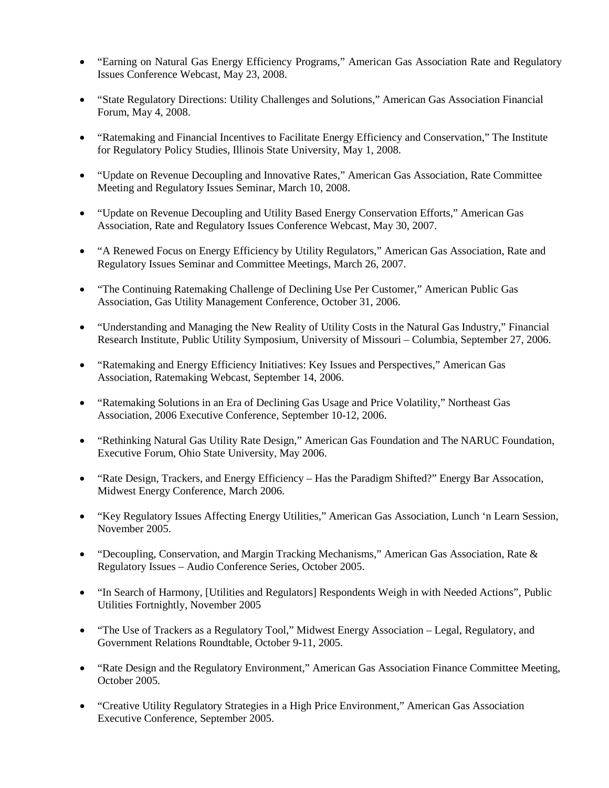- "Earning on Natural Gas Energy Efficiency Programs," American Gas Association Rate and Regulatory Issues Conference Webcast, May 23, 2008.
- "State Regulatory Directions: Utility Challenges and Solutions," American Gas Association Financial Forum, May 4, 2008.
- "Ratemaking and Financial Incentives to Facilitate Energy Efficiency and Conservation," The Institute for Regulatory Policy Studies, Illinois State University, May 1, 2008.
- "Update on Revenue Decoupling and Innovative Rates," American Gas Association, Rate Committee Meeting and Regulatory Issues Seminar, March 10, 2008.
- "Update on Revenue Decoupling and Utility Based Energy Conservation Efforts," American Gas Association, Rate and Regulatory Issues Conference Webcast, May 30, 2007.
- "A Renewed Focus on Energy Efficiency by Utility Regulators," American Gas Association, Rate and Regulatory Issues Seminar and Committee Meetings, March 26, 2007.
- "The Continuing Ratemaking Challenge of Declining Use Per Customer," American Public Gas Association, Gas Utility Management Conference, October 31, 2006.
- "Understanding and Managing the New Reality of Utility Costs in the Natural Gas Industry," Financial Research Institute, Public Utility Symposium, University of Missouri – Columbia, September 27, 2006.
- "Ratemaking and Energy Efficiency Initiatives: Key Issues and Perspectives," American Gas Association, Ratemaking Webcast, September 14, 2006.
- "Ratemaking Solutions in an Era of Declining Gas Usage and Price Volatility," Northeast Gas Association, 2006 Executive Conference, September 10-12, 2006.
- "Rethinking Natural Gas Utility Rate Design," American Gas Foundation and The NARUC Foundation, Executive Forum, Ohio State University, May 2006.
- "Rate Design, Trackers, and Energy Efficiency Has the Paradigm Shifted?" Energy Bar Assocation, Midwest Energy Conference, March 2006.
- "Key Regulatory Issues Affecting Energy Utilities," American Gas Association, Lunch 'n Learn Session, November 2005.
- "Decoupling, Conservation, and Margin Tracking Mechanisms," American Gas Association, Rate & Regulatory Issues – Audio Conference Series, October 2005.
- "In Search of Harmony, [Utilities and Regulators] Respondents Weigh in with Needed Actions", Public Utilities Fortnightly, November 2005
- "The Use of Trackers as a Regulatory Tool," Midwest Energy Association Legal, Regulatory, and Government Relations Roundtable, October 9-11, 2005.
- "Rate Design and the Regulatory Environment," American Gas Association Finance Committee Meeting, October 2005.
- "Creative Utility Regulatory Strategies in a High Price Environment," American Gas Association Executive Conference, September 2005.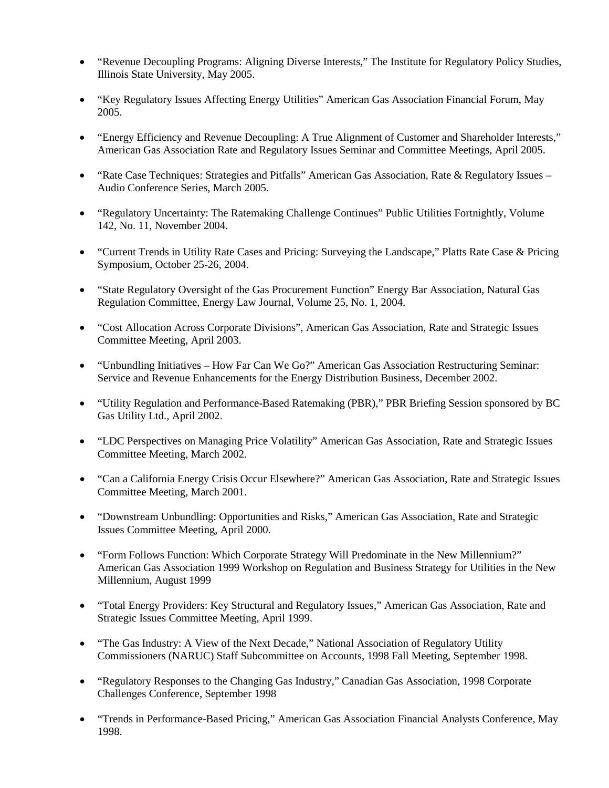- "Revenue Decoupling Programs: Aligning Diverse Interests," The Institute for Regulatory Policy Studies, Illinois State University, May 2005.
- "Key Regulatory Issues Affecting Energy Utilities" American Gas Association Financial Forum, May 2005.
- "Energy Efficiency and Revenue Decoupling: A True Alignment of Customer and Shareholder Interests," American Gas Association Rate and Regulatory Issues Seminar and Committee Meetings, April 2005.
- "Rate Case Techniques: Strategies and Pitfalls" American Gas Association, Rate & Regulatory Issues Audio Conference Series, March 2005.
- "Regulatory Uncertainty: The Ratemaking Challenge Continues" Public Utilities Fortnightly, Volume 142, No. 11, November 2004.
- "Current Trends in Utility Rate Cases and Pricing: Surveying the Landscape," Platts Rate Case & Pricing Symposium, October 25-26, 2004.
- "State Regulatory Oversight of the Gas Procurement Function" Energy Bar Association, Natural Gas Regulation Committee, Energy Law Journal, Volume 25, No. 1, 2004.
- "Cost Allocation Across Corporate Divisions", American Gas Association, Rate and Strategic Issues Committee Meeting, April 2003.
- "Unbundling Initiatives How Far Can We Go?" American Gas Association Restructuring Seminar: Service and Revenue Enhancements for the Energy Distribution Business, December 2002.
- "Utility Regulation and Performance-Based Ratemaking (PBR)," PBR Briefing Session sponsored by BC Gas Utility Ltd., April 2002.
- "LDC Perspectives on Managing Price Volatility" American Gas Association, Rate and Strategic Issues Committee Meeting, March 2002.
- "Can a California Energy Crisis Occur Elsewhere?" American Gas Association, Rate and Strategic Issues Committee Meeting, March 2001.
- "Downstream Unbundling: Opportunities and Risks," American Gas Association, Rate and Strategic Issues Committee Meeting, April 2000.
- "Form Follows Function: Which Corporate Strategy Will Predominate in the New Millennium?" American Gas Association 1999 Workshop on Regulation and Business Strategy for Utilities in the New Millennium, August 1999
- "Total Energy Providers: Key Structural and Regulatory Issues," American Gas Association, Rate and Strategic Issues Committee Meeting, April 1999.
- "The Gas Industry: A View of the Next Decade," National Association of Regulatory Utility Commissioners (NARUC) Staff Subcommittee on Accounts, 1998 Fall Meeting, September 1998.
- "Regulatory Responses to the Changing Gas Industry," Canadian Gas Association, 1998 Corporate Challenges Conference, September 1998
- "Trends in Performance-Based Pricing," American Gas Association Financial Analysts Conference, May 1998.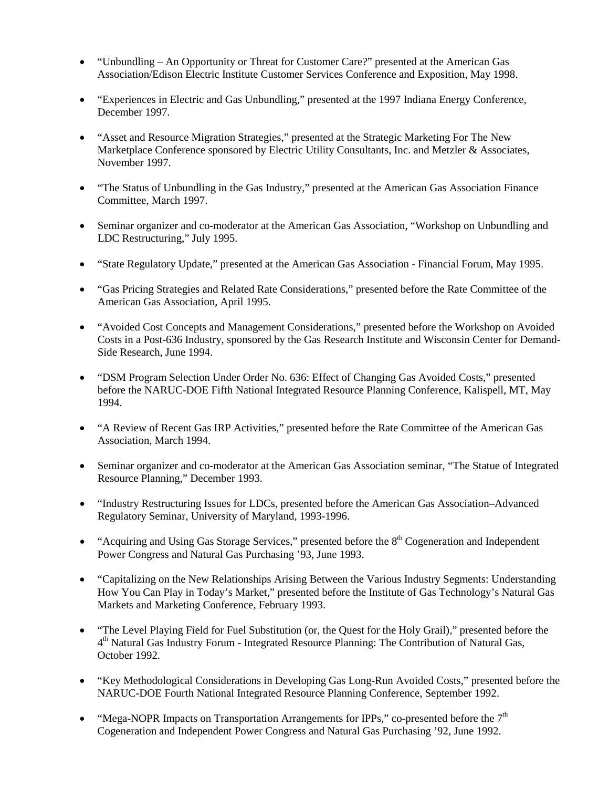- "Unbundling An Opportunity or Threat for Customer Care?" presented at the American Gas Association/Edison Electric Institute Customer Services Conference and Exposition, May 1998.
- "Experiences in Electric and Gas Unbundling," presented at the 1997 Indiana Energy Conference, December 1997.
- "Asset and Resource Migration Strategies," presented at the Strategic Marketing For The New Marketplace Conference sponsored by Electric Utility Consultants, Inc. and Metzler & Associates, November 1997.
- "The Status of Unbundling in the Gas Industry," presented at the American Gas Association Finance Committee, March 1997.
- Seminar organizer and co-moderator at the American Gas Association, "Workshop on Unbundling and LDC Restructuring," July 1995.
- "State Regulatory Update," presented at the American Gas Association Financial Forum, May 1995.
- "Gas Pricing Strategies and Related Rate Considerations," presented before the Rate Committee of the American Gas Association, April 1995.
- "Avoided Cost Concepts and Management Considerations," presented before the Workshop on Avoided Costs in a Post-636 Industry, sponsored by the Gas Research Institute and Wisconsin Center for Demand-Side Research, June 1994.
- "DSM Program Selection Under Order No. 636: Effect of Changing Gas Avoided Costs," presented before the NARUC-DOE Fifth National Integrated Resource Planning Conference, Kalispell, MT, May 1994.
- "A Review of Recent Gas IRP Activities," presented before the Rate Committee of the American Gas Association, March 1994.
- Seminar organizer and co-moderator at the American Gas Association seminar, "The Statue of Integrated Resource Planning," December 1993.
- "Industry Restructuring Issues for LDCs, presented before the American Gas Association–Advanced Regulatory Seminar, University of Maryland, 1993-1996.
- "Acquiring and Using Gas Storage Services," presented before the  $8<sup>th</sup> Cogeneration$  and Independent Power Congress and Natural Gas Purchasing '93, June 1993.
- "Capitalizing on the New Relationships Arising Between the Various Industry Segments: Understanding How You Can Play in Today's Market," presented before the Institute of Gas Technology's Natural Gas Markets and Marketing Conference, February 1993.
- "The Level Playing Field for Fuel Substitution (or, the Quest for the Holy Grail)," presented before the 4th Natural Gas Industry Forum - Integrated Resource Planning: The Contribution of Natural Gas, October 1992.
- "Key Methodological Considerations in Developing Gas Long-Run Avoided Costs," presented before the NARUC-DOE Fourth National Integrated Resource Planning Conference, September 1992.
- "Mega-NOPR Impacts on Transportation Arrangements for IPPs," co-presented before the  $7<sup>th</sup>$ Cogeneration and Independent Power Congress and Natural Gas Purchasing '92, June 1992.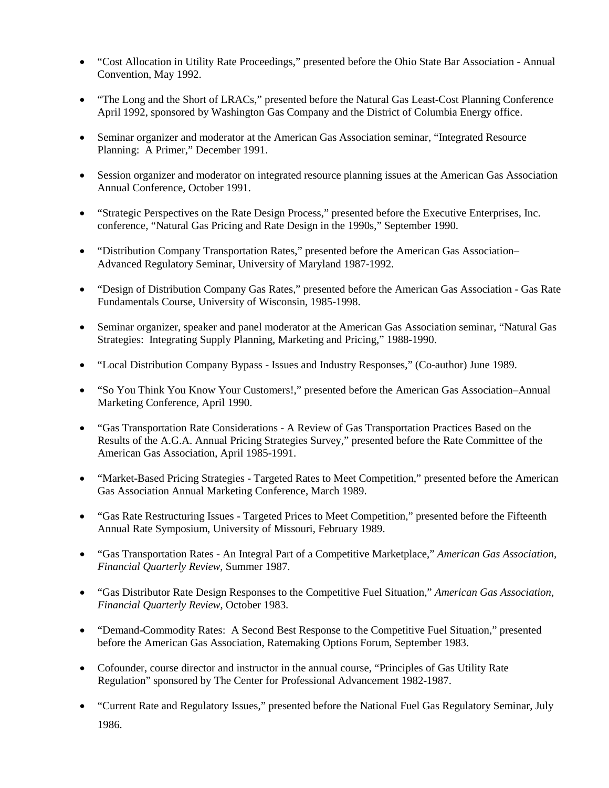- "Cost Allocation in Utility Rate Proceedings," presented before the Ohio State Bar Association Annual Convention, May 1992.
- "The Long and the Short of LRACs," presented before the Natural Gas Least-Cost Planning Conference April 1992, sponsored by Washington Gas Company and the District of Columbia Energy office.
- Seminar organizer and moderator at the American Gas Association seminar, "Integrated Resource Planning: A Primer," December 1991.
- Session organizer and moderator on integrated resource planning issues at the American Gas Association Annual Conference, October 1991.
- "Strategic Perspectives on the Rate Design Process," presented before the Executive Enterprises, Inc. conference, "Natural Gas Pricing and Rate Design in the 1990s," September 1990.
- "Distribution Company Transportation Rates," presented before the American Gas Association– Advanced Regulatory Seminar, University of Maryland 1987-1992.
- "Design of Distribution Company Gas Rates," presented before the American Gas Association Gas Rate Fundamentals Course, University of Wisconsin, 1985-1998.
- Seminar organizer, speaker and panel moderator at the American Gas Association seminar, "Natural Gas Strategies: Integrating Supply Planning, Marketing and Pricing," 1988-1990.
- "Local Distribution Company Bypass Issues and Industry Responses," (Co-author) June 1989.
- "So You Think You Know Your Customers!," presented before the American Gas Association–Annual Marketing Conference, April 1990.
- "Gas Transportation Rate Considerations A Review of Gas Transportation Practices Based on the Results of the A.G.A. Annual Pricing Strategies Survey," presented before the Rate Committee of the American Gas Association, April 1985-1991.
- "Market-Based Pricing Strategies Targeted Rates to Meet Competition," presented before the American Gas Association Annual Marketing Conference, March 1989.
- "Gas Rate Restructuring Issues Targeted Prices to Meet Competition," presented before the Fifteenth Annual Rate Symposium, University of Missouri, February 1989.
- "Gas Transportation Rates An Integral Part of a Competitive Marketplace," *American Gas Association, Financial Quarterly Review*, Summer 1987.
- "Gas Distributor Rate Design Responses to the Competitive Fuel Situation," *American Gas Association, Financial Quarterly Review*, October 1983.
- "Demand-Commodity Rates: A Second Best Response to the Competitive Fuel Situation," presented before the American Gas Association, Ratemaking Options Forum, September 1983.
- Cofounder, course director and instructor in the annual course, "Principles of Gas Utility Rate Regulation" sponsored by The Center for Professional Advancement 1982-1987.
- "Current Rate and Regulatory Issues," presented before the National Fuel Gas Regulatory Seminar, July 1986.